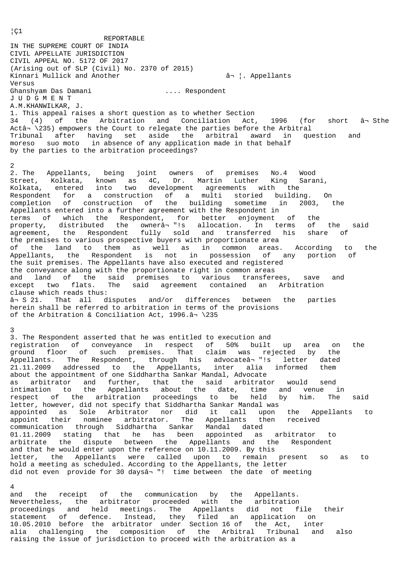REPORTABLE IN THE SUPREME COURT OF INDIA CIVIL APPELLATE JURISDICTION CIVIL APPEAL NO. 5172 OF 2017 (Arising out of SLP (Civil) No. 2370 of 2015) Kinnari Mullick and Another ⬠¦. Appellants Versus Ghanshyam Das Damani .... Respondent J U D G M E N T A.M.KHANWILKAR, J. 1. This appeal raises a short question as to whether Section  $34$  (4) of the Arbitration and Conciliation Act, 1996 (for short  $\hat{a}$ -Sthe Actâ $\rightarrow$  \235) empowers the Court to relegate the parties before the Arbitral Tribunal after having set aside the arbitral award in question and moreso suo moto in absence of any application made in that behalf by the parties to the arbitration proceedings? 2 2. The Appellants, being joint owners of premises No.4 Wood Street, Kolkata, known as 4C, Dr. Martin Luther King Sarani, Kolkata, entered into two development agreements with the Respondent for a construction of a multi storied building. On completion of construction of the building sometime in 2003, the Appellants entered into a further agreement with the Respondent in terms of which the Respondent, for better enjoyment of the property, distributed the ownerâ¬"!s allocation. In terms of the said agreement, the Respondent fully sold and transferred his share of the premises to various prospective buyers with proportionate area of the land to them as well as in common areas. According to the Appellants, the Respondent is not in possession of any portion of the suit premises. The Appellants have also executed and registered the conveyance along with the proportionate right in common areas and land of the said premises to various transferees, save and except two flats. The said agreement contained an Arbitration clause which reads thus: ⬠S 21. That all disputes and/or differences between the parties herein shall be referred to arbitration in terms of the provisions of the Arbitration & Conciliation Act,  $1996.\hat{a}$  \235 3 3. The Respondent asserted that he was entitled to execution and registration of conveyance in respect of 50% built up area on the ground floor of such premises. That claim was rejected by the Appellants. The Respondent, through his advocateâ- "!s letter dated 21.11.2009 addressed to the Appellants, inter alia informed them about the appointment of one Siddhartha Sankar Mandal, Advocate as arbitrator and further, that the said arbitrator would send intimation to the Appellants about the date, time and venue in respect of the arbitration proceedings to be held by him. The said letter, however, did not specify that Siddhartha Sankar Mandal was appointed as Sole Arbitrator nor did it call upon the Appellants to appoint their nominee arbitrator. The Appellants then received communication through Siddhartha Sankar Mandal dated 01.11.2009 stating that he has been appointed as arbitrator to arbitrate the dispute between the Appellants and the Respondent and that he would enter upon the reference on 10.11.2009. By this letter, the Appellants were called upon to remain present so as to hold a meeting as scheduled. According to the Appellants, the letter did not even provide for 30 daysâ - "! time between the date of meeting 4

and the receipt of the communication by the Appellants. Nevertheless, the arbitrator proceeded with the arbitration proceedings and held meetings. The Appellants did not file their statement of defence. Instead, they filed an application on 10.05.2010 before the arbitrator under Section 16 of the Act, inter alia challenging the composition of the Arbitral Tribunal and also raising the issue of jurisdiction to proceed with the arbitration as a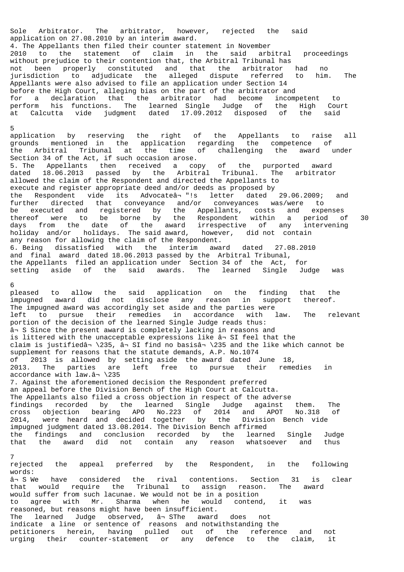Sole Arbitrator. The arbitrator, however, rejected the said application on 27.08.2010 by an interim award. 4. The Appellants then filed their counter statement in November 2010 to the statement of claim in the said arbitral proceedings without prejudice to their contention that, the Arbitral Tribunal has not been properly constituted and that the arbitrator had no jurisdiction to adjudicate the alleged dispute referred to him. The Appellants were also advised to file an application under Section 14 before the High Court, alleging bias on the part of the arbitrator and for a declaration that the arbitrator had become incompetent to perform his functions. The learned Single Judge of the High Court at Calcutta vide judgment dated 17.09.2012 disposed of the said 5 application by reserving the right of the Appellants to raise all grounds mentioned in the application regarding the competence of the Arbitral Tribunal at the time of challenging the award under Section 34 of the Act, if such occasion arose. 5. The Appellants then received a copy of the purported award dated 18.06.2013 passed by the Arbitral Tribunal. The arbitrator allowed the claim of the Respondent and directed the Appellants to execute and register appropriate deed and/or deeds as proposed by the Respondent vide its Advocateâ- "!s letter dated 29.06.2009; and further directed that conveyance and/or conveyances was/were to be executed and registered by the Appellants, costs and expenses thereof were to be borne by the Respondent within a period of 30

days from the date of the award irrespective of any intervening holiday and/or holidays. The said award, however, did not contain any reason for allowing the claim of the Respondent. 6. Being dissatisfied with the interim award dated 27.08.2010 and final award dated 18.06.2013 passed by the Arbitral Tribunal, the Appellants filed an application under Section 34 of the Act, for setting aside of the said awards. The learned Single Judge was

## 6

pleased to allow the said application on the finding that the impugned award did not disclose any reason in support thereof. The impugned award was accordingly set aside and the parties were left to pursue their remedies in accordance with law. The relevant portion of the decision of the learned Single Judge reads thus: ⬠S Since the present award is completely lacking in reasons and is littered with the unacceptable expressions like  $\hat{a}$  SI feel that the claim is justifiedâ $\rightarrow$  235, â $\rightarrow$  SI find no basisâ $\rightarrow$  \235 and the like which cannot be supplement for reasons that the statute demands, A.P. No.1074 of 2013 is allowed by setting aside the award dated June 18, 2013. The parties are left free to pursue their remedies in accordance with  $law.\hat{a}$  \235 7. Against the aforementioned decision the Respondent preferred an appeal before the Division Bench of the High Court at Calcutta. The Appellants also filed a cross objection in respect of the adverse findings recorded by the learned Single Judge against them. The cross objection bearing APO No.223 of 2014 and APOT No.318 of 2014, were heard and decided together by the Division Bench vide impugned judgment dated 13.08.2014. The Division Bench affirmed the findings and conclusion recorded by the learned Single Judge that the award did not contain any reason whatsoever and thus

## 7

rejected the appeal preferred by the Respondent, in the following words: ⬠S We have considered the rival contentions. Section 31 is clear that would require the Tribunal to assign reason. The award would suffer from such lacunae. We would not be in a position to agree with Mr. Sharma when he would contend, it was reasoned, but reasons might have been insufficient. The learned Judge observed, ân SThe award does not indicate a line or sentence of reasons and notwithstanding the petitioners herein, having pulled out of the reference and not urging their counter-statement or any defence to the claim, it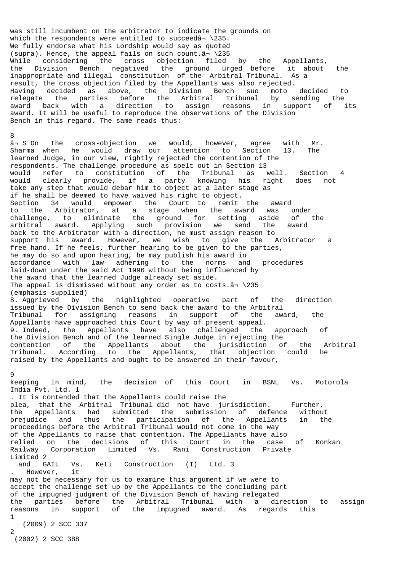was still incumbent on the arbitrator to indicate the grounds on which the respondents were entitled to succeed $\hat{a}$  \235. We fully endorse what his Lordship would say as quoted (supra). Hence, the appeal fails on such count. $â\rightarrow \235$ While considering the cross objection filed by the Appellants, the Division Bench negatived the ground urged before it about the inappropriate and illegal constitution of the Arbitral Tribunal. As a result, the cross objection filed by the Appellants was also rejected. Having decided as above, the Division Bench suo moto decided to relegate the parties before the Arbitral Tribunal by sending the award back with a direction to assign reasons in support of its award. It will be useful to reproduce the observations of the Division Bench in this regard. The same reads thus:

8

⬠S On the cross-objection we would, however, agree with Mr. Sharma when he would draw our attention to Section 13. The learned Judge, in our view, rightly rejected the contention of the respondents. The challenge procedure as spelt out in Section 13 would refer to constitution of the Tribunal as well. Section 4 would clearly provide, if a party knowing his right does not take any step that would debar him to object at a later stage as if he shall be deemed to have waived his right to object. Section 34 would empower the Court to remit the award to the Arbitrator, at a stage when the award was under challenge, to eliminate the ground for setting aside of the arbitral award. Applying such provision we send the award back to the Arbitrator with a direction, he must assign reason to support his award. However, we wish to give the Arbitrator a free hand. If he feels, further hearing to be given to the parties, he may do so and upon hearing, he may publish his award in accordance with law adhering to the norms and procedures laid-down under the said Act 1996 without being influenced by the award that the learned Judge already set aside. The appeal is dismissed without any order as to costs. $â\rightarrow \235$ (emphasis supplied) 8. Aggrieved by the highlighted operative part of the direction issued by the Division Bench to send back the award to the Arbitral Tribunal for assigning reasons in support of the award, the Appellants have approached this Court by way of present appeal. 9. Indeed, the Appellants have also challenged the approach of the Division Bench and of the learned Single Judge in rejecting the contention of the Appellants about the jurisdiction of the Arbitral Tribunal. According to the Appellants, that objection could be raised by the Appellants and ought to be answered in their favour,

# 9

keeping in mind, the decision of this Court in BSNL Vs. Motorola India Pvt. Ltd. 1

. It is contended that the Appellants could raise the plea, that the Arbitral Tribunal did not have jurisdiction. Further, the Appellants had submitted the submission of defence without prejudice and thus the participation of the Appellants in the proceedings before the Arbitral Tribunal would not come in the way of the Appellants to raise that contention. The Appellants have also relied on the decisions of this Court in the case of Konkan Railway Corporation Limited Vs. Rani Construction Private Limited 2

and GAIL Vs. Keti Construction (I) Ltd. 3<br>However, it . However,

may not be necessary for us to examine this argument if we were to accept the challenge set up by the Appellants to the concluding part of the impugned judgment of the Division Bench of having relegated the parties before the Arbitral Tribunal with a direction to assign reasons in support of the impugned award. As regards this 1

 (2009) 2 SCC 337 2

(2002) 2 SCC 388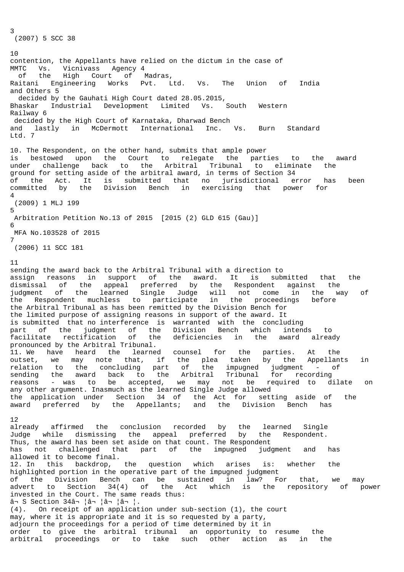(2007) 5 SCC 38

3

10 contention, the Appellants have relied on the dictum in the case of MMTC Vs. Vicnivass Agency 4 of the High Court of Madras, Raitani Engineering Works Pvt. Ltd. Vs. The Union of India and Others 5 decided by the Gauhati High Court dated 28.05.2015, Bhaskar Industrial Development Limited Vs. South Western Railway 6 decided by the High Court of Karnataka, Dharwad Bench and lastly in McDermott International Inc. Vs. Burn Standard Ltd. 7 10. The Respondent, on the other hand, submits that ample power is bestowed upon the Court to relegate the parties to the award under challenge back to the Arbitral Tribunal to eliminate the ground for setting aside of the arbitral award, in terms of Section 34 of the Act. It is submitted that no jurisdictional error has been committed by the Division Bench in exercising that power for 4 (2009) 1 MLJ 199 5 Arbitration Petition No.13 of 2015 [2015 (2) GLD 615 (Gau)] 6 MFA No.103528 of 2015 7 (2006) 11 SCC 181

11

sending the award back to the Arbitral Tribunal with a direction to assign reasons in support of the award. It is submitted that the dismissal of the appeal preferred by the Respondent against the judgment of the learned Single Judge will not come in the way of the Respondent muchless to participate in the proceedings before the Arbitral Tribunal as has been remitted by the Division Bench for the limited purpose of assigning reasons in support of the award. It is submitted that no interference is warranted with the concluding part of the judgment of the Division Bench which intends to facilitate rectification of the deficiencies in the award already pronounced by the Arbitral Tribunal. 11. We have heard the learned counsel for the parties. At the outset, we may note that, if the plea taken by the Appellants in relation to the concluding part of the impugned judgment - of sending the award back to the Arbitral Tribunal for recording reasons - was to be accepted, we may not be required to dilate on any other argument. Inasmuch as the learned Single Judge allowed the application under Section 34 of the Act for setting aside of the award preferred by the Appellants; and the Division Bench has 12 already affirmed the conclusion recorded by the learned Single Judge while dismissing the appeal preferred by the Respondent. Thus, the award has been set aside on that count. The Respondent has not challenged that part of the impugned judgment and has allowed it to become final. 12. In this backdrop, the question which arises is: whether the highlighted portion in the operative part of the impugned judgment of the Division Bench can be sustained in law? For that, we may advert to Section 34(4) of the Act which is the repository of power invested in the Court. The same reads thus: ⬠S Section 34⬠¦â¬ ¦â¬ ¦â¬ ¦. (4). On receipt of an application under sub-section (1), the court may, where it is appropriate and it is so requested by a party, adjourn the proceedings for a period of time determined by it in order to give the arbitral tribunal an opportunity to resume the arbitral proceedings or to take such other action as in the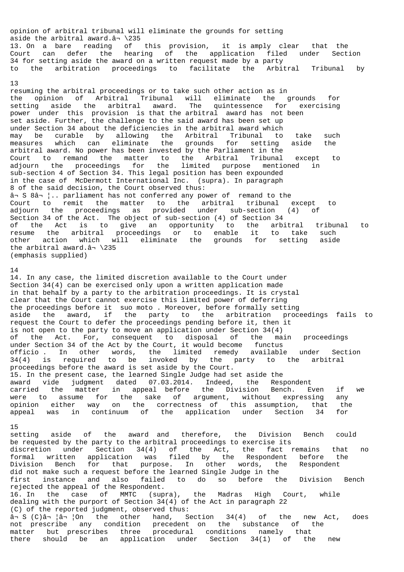opinion of arbitral tribunal will eliminate the grounds for setting aside the arbitral award. $â\rightarrow \235$ 13. On a bare reading of this provision, it is amply clear that the Court can defer the hearing of the application filed under Section 34 for setting aside the award on a written request made by a party to the arbitration proceedings to facilitate the Arbitral Tribunal by

#### 13

resuming the arbitral proceedings or to take such other action as in the opinion of Arbitral Tribunal will eliminate the grounds for setting aside the arbitral award. The quintessence for exercising power under this provision is that the arbitral award has not been set aside. Further, the challenge to the said award has been set up under Section 34 about the deficiencies in the arbitral award which may be curable by allowing the Arbitral Tribunal to take such measures which can eliminate the grounds for setting aside the arbitral award. No power has been invested by the Parliament in the Court to remand the matter to the Arbitral Tribunal except to adjourn the proceedings for the limited purpose mentioned in sub-section 4 of Section 34. This legal position has been expounded in the case of McDermott International Inc. (supra). In paragraph 8 of the said decision, the Court observed thus: ⬠S 8⬠¦.. parliament has not conferred any power of remand to the Court to remit the matter to the arbitral tribunal except to adjourn the proceedings as provided under sub-section (4) of Section 34 of the Act. The object of sub-section (4) of Section 34 of the Act is to give an opportunity to the arbitral tribunal to resume the arbitral proceedings or to enable it to take such other action which will eliminate the grounds for setting aside the arbitral award. $â\rightarrow \235$ (emphasis supplied)

## 14

14. In any case, the limited discretion available to the Court under Section 34(4) can be exercised only upon a written application made in that behalf by a party to the arbitration proceedings. It is crystal clear that the Court cannot exercise this limited power of deferring the proceedings before it suo moto . Moreover, before formally setting aside the award, if the party to the arbitration proceedings fails to request the Court to defer the proceedings pending before it, then it is not open to the party to move an application under Section 34(4) of the Act. For, consequent to disposal of the main proceedings under Section 34 of the Act by the Court, it would become functus officio . In other words, the limited remedy available under Section 34(4) is required to be invoked by the party to the arbitral proceedings before the award is set aside by the Court. 15. In the present case, the learned Single Judge had set aside the award vide judgment dated 07.03.2014. Indeed, the Respondent carried the matter in appeal before the Division Bench. Even if we were to assume for the sake of argument, without expressing any opinion either way on the correctness of this assumption, that the<br>appeal was in continuum of the application under Section 34 for appeal was in continuum of the application under Section 34

## 15

setting aside of the award and therefore, the Division Bench could be requested by the party to the arbitral proceedings to exercise its discretion under Section 34(4) of the Act, the fact remains that no formal written application was filed by the Respondent before the Division Bench for that purpose. In other words, the Respondent did not make such a request before the learned Single Judge in the first instance and also failed to do so before the Division Bench rejected the appeal of the Respondent. 16. In the case of MMTC (supra), the Madras High Court, while dealing with the purport of Section 34(4) of the Act in paragraph 22 (C) of the reported judgment, observed thus: ⬠S (C)⬠¦â¬ ¦On the other hand, Section 34(4) of the new Act, does not prescribe any condition precedent on the substance of the matter but prescribes three procedural conditions namely that there should be an application under Section 34(1) of the new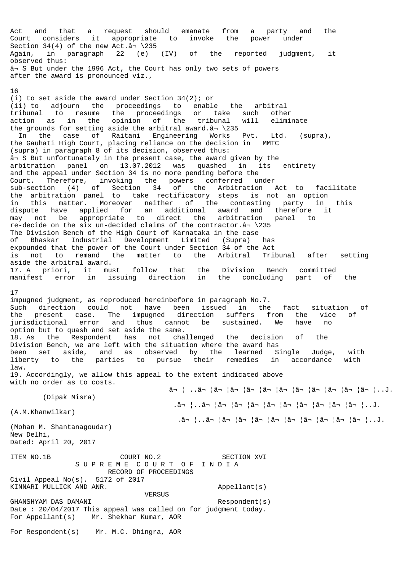Act and that a request should emanate from a party and the Court considers it appropriate to invoke the power under Section 34(4) of the new Act. $â\rightarrow \235$ Again, in paragraph 22 (e) (IV) of the reported judgment, it observed thus: ⬠S But under the 1996 Act, the Court has only two sets of powers after the award is pronounced viz.,

16

(i) to set aside the award under Section 34(2); or (ii) to adjourn the proceedings to enable the arbitral tribunal to resume the proceedings or take such other action as in the opinion of the tribunal will eliminate the grounds for setting aside the arbitral award. $â\rightarrow$  \235 In the case of Raitani Engineering Works Pvt. Ltd. (supra), the Gauhati High Court, placing reliance on the decision in MMTC (supra) in paragraph 8 of its decision, observed thus: ⬠S But unfortunately in the present case, the award given by the arbitration panel on 13.07.2012 was quashed in its entirety and the appeal under Section 34 is no more pending before the Court. Therefore, invoking the powers conferred under sub-section (4) of Section 34 of the Arbitration Act to facilitate the arbitration panel to take rectificatory steps is not an option in this matter. Moreover neither of the contesting party in this dispute have applied for an additional award and therefore it may not be appropriate to direct the arbitration panel to re-decide on the six un-decided claims of the contractor. $â\gamma \$ 235 The Division Bench of the High Court of Karnataka in the case of Bhaskar Industrial Development Limited (Supra) has expounded that the power of the Court under Section 34 of the Act is not to remand the matter to the Arbitral Tribunal after setting aside the arbitral award. 17. A priori, it must follow that the Division Bench committed manifest error in issuing direction in the concluding part of the 17 impugned judgment, as reproduced hereinbefore in paragraph No.7. Such direction could not have been issued in the fact situation of the present case. The impugned direction suffers from the vice of jurisdictional error and thus cannot be sustained. We have no option but to quash and set aside the same. 18. As the Respondent has not challenged the decision of the Division Bench, we are left with the situation where the award has been set aside, and as observed by the learned Single Judge, with liberty to the parties to pursue their remedies in accordance with law. 19. Accordingly, we allow this appeal to the extent indicated above with no order as to costs. ⬠¦ ..⬠¦â¬ ¦â¬ ¦â¬ ¦â¬ ¦â¬ ¦â¬ ¦â¬ ¦â¬ ¦â¬ ¦â¬ ¦..J. (Dipak Misra) .⬠¦..⬠¦â¬ ¦â¬ ¦â¬ ¦â¬ ¦â¬ ¦â¬ ¦â¬ ¦â¬ ¦â¬ ¦..J. (A.M.Khanwilkar) .⬠¦..⬠¦â¬ ¦â¬ ¦â¬ ¦â¬ ¦â¬ ¦â¬ ¦â¬ ¦â¬ ¦â¬ ¦..J. (Mohan M. Shantanagoudar) New Delhi, Dated: April 20, 2017 ITEM NO.1B COURT NO.2 SECTION XVI S U P R E M E C O U R T O F I N D I A RECORD OF PROCEEDINGS Civil Appeal No(s). 5172 of 2017 KINNARI MULLICK AND ANR. Appellant(s) VERSUS GHANSHYAM DAS DAMANI Respondent(s) Date : 20/04/2017 This appeal was called on for judgment today. For Appellant(s) Mr. Shekhar Kumar, AOR For Respondent(s) Mr. M.C. Dhingra, AOR